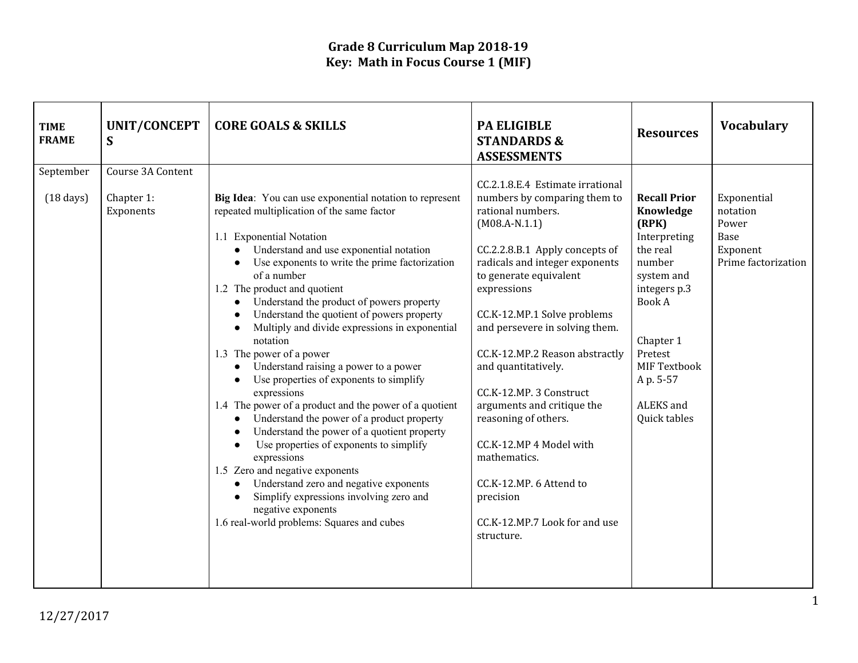| <b>TIME</b><br><b>FRAME</b> | UNIT/CONCEPT<br>S       | <b>CORE GOALS &amp; SKILLS</b>                                                                                                                                                                                                                                                                                                                                                                                                                                                                                                                                                                                                                                                                                                                                                                                                                                                                                                                                                                                                                                                | <b>PA ELIGIBLE</b><br><b>STANDARDS &amp;</b><br><b>ASSESSMENTS</b>                                                                                                                                                                                                                                                                                                                                                                                                                                                                                                 | <b>Resources</b>                                                                                                                                                                                                | <b>Vocabulary</b>                                                           |
|-----------------------------|-------------------------|-------------------------------------------------------------------------------------------------------------------------------------------------------------------------------------------------------------------------------------------------------------------------------------------------------------------------------------------------------------------------------------------------------------------------------------------------------------------------------------------------------------------------------------------------------------------------------------------------------------------------------------------------------------------------------------------------------------------------------------------------------------------------------------------------------------------------------------------------------------------------------------------------------------------------------------------------------------------------------------------------------------------------------------------------------------------------------|--------------------------------------------------------------------------------------------------------------------------------------------------------------------------------------------------------------------------------------------------------------------------------------------------------------------------------------------------------------------------------------------------------------------------------------------------------------------------------------------------------------------------------------------------------------------|-----------------------------------------------------------------------------------------------------------------------------------------------------------------------------------------------------------------|-----------------------------------------------------------------------------|
| September                   | Course 3A Content       |                                                                                                                                                                                                                                                                                                                                                                                                                                                                                                                                                                                                                                                                                                                                                                                                                                                                                                                                                                                                                                                                               |                                                                                                                                                                                                                                                                                                                                                                                                                                                                                                                                                                    |                                                                                                                                                                                                                 |                                                                             |
| $(18 \text{ days})$         | Chapter 1:<br>Exponents | Big Idea: You can use exponential notation to represent<br>repeated multiplication of the same factor<br>1.1 Exponential Notation<br>Understand and use exponential notation<br>$\bullet$<br>Use exponents to write the prime factorization<br>of a number<br>1.2 The product and quotient<br>Understand the product of powers property<br>$\bullet$<br>Understand the quotient of powers property<br>Multiply and divide expressions in exponential<br>notation<br>1.3 The power of a power<br>Understand raising a power to a power<br>$\bullet$<br>Use properties of exponents to simplify<br>$\bullet$<br>expressions<br>1.4 The power of a product and the power of a quotient<br>Understand the power of a product property<br>$\bullet$<br>Understand the power of a quotient property<br>$\bullet$<br>Use properties of exponents to simplify<br>expressions<br>1.5 Zero and negative exponents<br>Understand zero and negative exponents<br>$\bullet$<br>Simplify expressions involving zero and<br>negative exponents<br>1.6 real-world problems: Squares and cubes | CC.2.1.8.E.4 Estimate irrational<br>numbers by comparing them to<br>rational numbers.<br>$(M08.A-N.1.1)$<br>CC.2.2.8.B.1 Apply concepts of<br>radicals and integer exponents<br>to generate equivalent<br>expressions<br>CC.K-12.MP.1 Solve problems<br>and persevere in solving them.<br>CC.K-12.MP.2 Reason abstractly<br>and quantitatively.<br>CC.K-12.MP. 3 Construct<br>arguments and critique the<br>reasoning of others.<br>CC.K-12.MP 4 Model with<br>mathematics.<br>CC.K-12.MP. 6 Attend to<br>precision<br>CC.K-12.MP.7 Look for and use<br>structure. | <b>Recall Prior</b><br>Knowledge<br>(RPK)<br>Interpreting<br>the real<br>number<br>system and<br>integers p.3<br><b>Book A</b><br>Chapter 1<br>Pretest<br>MIF Textbook<br>Ap. 5-57<br>ALEKS and<br>Quick tables | Exponential<br>notation<br>Power<br>Base<br>Exponent<br>Prime factorization |
|                             |                         |                                                                                                                                                                                                                                                                                                                                                                                                                                                                                                                                                                                                                                                                                                                                                                                                                                                                                                                                                                                                                                                                               |                                                                                                                                                                                                                                                                                                                                                                                                                                                                                                                                                                    |                                                                                                                                                                                                                 |                                                                             |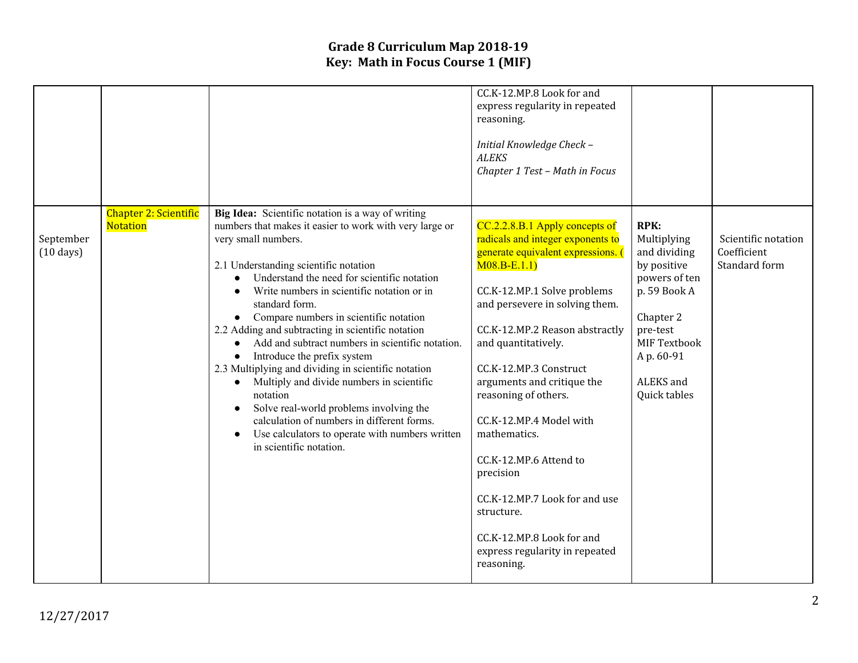|                                  |                                                 |                                                                                                                                                                                                                                                                                                                                                                                                                                                                                                                                                                                                                                                                                                                                                                                                | CC.K-12.MP.8 Look for and<br>express regularity in repeated<br>reasoning.<br>Initial Knowledge Check -<br><b>ALEKS</b><br>Chapter 1 Test - Math in Focus                                                                                                                                                                                                                                                                                                                                                                                            |                                                                                                                                                                                |                                                     |
|----------------------------------|-------------------------------------------------|------------------------------------------------------------------------------------------------------------------------------------------------------------------------------------------------------------------------------------------------------------------------------------------------------------------------------------------------------------------------------------------------------------------------------------------------------------------------------------------------------------------------------------------------------------------------------------------------------------------------------------------------------------------------------------------------------------------------------------------------------------------------------------------------|-----------------------------------------------------------------------------------------------------------------------------------------------------------------------------------------------------------------------------------------------------------------------------------------------------------------------------------------------------------------------------------------------------------------------------------------------------------------------------------------------------------------------------------------------------|--------------------------------------------------------------------------------------------------------------------------------------------------------------------------------|-----------------------------------------------------|
| September<br>$(10 \text{ days})$ | <b>Chapter 2: Scientific</b><br><b>Notation</b> | Big Idea: Scientific notation is a way of writing<br>numbers that makes it easier to work with very large or<br>very small numbers.<br>2.1 Understanding scientific notation<br>Understand the need for scientific notation<br>Write numbers in scientific notation or in<br>standard form.<br>Compare numbers in scientific notation<br>2.2 Adding and subtracting in scientific notation<br>Add and subtract numbers in scientific notation.<br>Introduce the prefix system<br>$\bullet$<br>2.3 Multiplying and dividing in scientific notation<br>Multiply and divide numbers in scientific<br>$\bullet$<br>notation<br>Solve real-world problems involving the<br>calculation of numbers in different forms.<br>Use calculators to operate with numbers written<br>in scientific notation. | CC.2.2.8.B.1 Apply concepts of<br>radicals and integer exponents to<br>generate equivalent expressions. (<br>$M08.B-E.1.1)$<br>CC.K-12.MP.1 Solve problems<br>and persevere in solving them.<br>CC.K-12.MP.2 Reason abstractly<br>and quantitatively.<br>CC.K-12.MP.3 Construct<br>arguments and critique the<br>reasoning of others.<br>CC.K-12.MP.4 Model with<br>mathematics.<br>CC.K-12.MP.6 Attend to<br>precision<br>CC.K-12.MP.7 Look for and use<br>structure.<br>CC.K-12.MP.8 Look for and<br>express regularity in repeated<br>reasoning. | <b>RPK:</b><br>Multiplying<br>and dividing<br>by positive<br>powers of ten<br>p. 59 Book A<br>Chapter 2<br>pre-test<br>MIF Textbook<br>A p. 60-91<br>ALEKS and<br>Quick tables | Scientific notation<br>Coefficient<br>Standard form |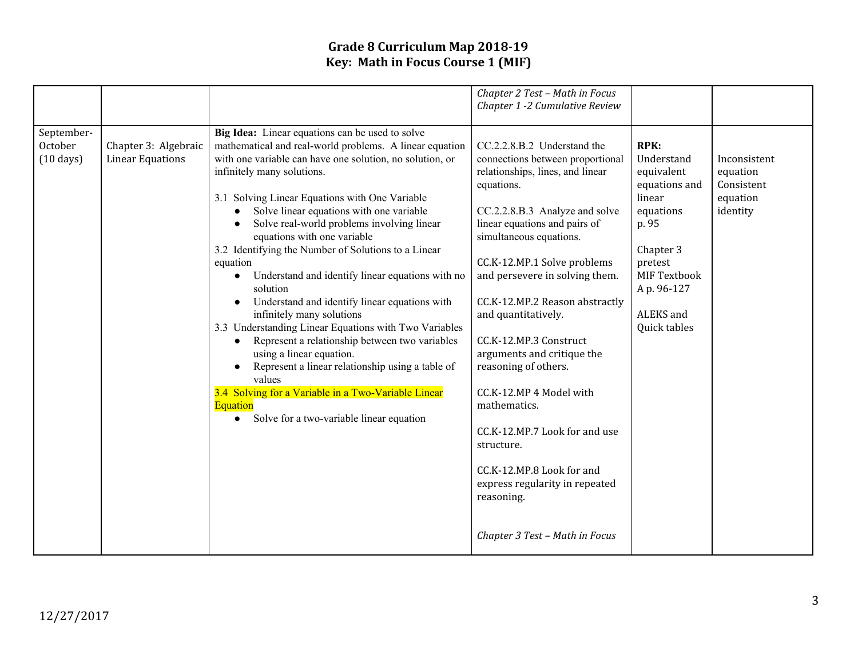|                                              |                                                 |                                                                                                                                                                                                                                                                                                                                                                                                                                                                                                                                                                                                                                                                                                                                                                                                                                                                                                                                                       | Chapter 2 Test - Math in Focus<br>Chapter 1 -2 Cumulative Review                                                                                                                                                                                                                                                                                                                                                                                                                                                                                                                                                                   |                                                                                                                                                                              |                                                                |
|----------------------------------------------|-------------------------------------------------|-------------------------------------------------------------------------------------------------------------------------------------------------------------------------------------------------------------------------------------------------------------------------------------------------------------------------------------------------------------------------------------------------------------------------------------------------------------------------------------------------------------------------------------------------------------------------------------------------------------------------------------------------------------------------------------------------------------------------------------------------------------------------------------------------------------------------------------------------------------------------------------------------------------------------------------------------------|------------------------------------------------------------------------------------------------------------------------------------------------------------------------------------------------------------------------------------------------------------------------------------------------------------------------------------------------------------------------------------------------------------------------------------------------------------------------------------------------------------------------------------------------------------------------------------------------------------------------------------|------------------------------------------------------------------------------------------------------------------------------------------------------------------------------|----------------------------------------------------------------|
| September-<br>October<br>$(10 \text{ days})$ | Chapter 3: Algebraic<br><b>Linear Equations</b> | Big Idea: Linear equations can be used to solve<br>mathematical and real-world problems. A linear equation<br>with one variable can have one solution, no solution, or<br>infinitely many solutions.<br>3.1 Solving Linear Equations with One Variable<br>Solve linear equations with one variable<br>Solve real-world problems involving linear<br>equations with one variable<br>3.2 Identifying the Number of Solutions to a Linear<br>equation<br>Understand and identify linear equations with no<br>solution<br>Understand and identify linear equations with<br>infinitely many solutions<br>3.3 Understanding Linear Equations with Two Variables<br>Represent a relationship between two variables<br>$\bullet$<br>using a linear equation.<br>Represent a linear relationship using a table of<br>values<br>3.4 Solving for a Variable in a Two-Variable Linear<br><b>Equation</b><br>Solve for a two-variable linear equation<br>$\bullet$ | CC.2.2.8.B.2 Understand the<br>connections between proportional<br>relationships, lines, and linear<br>equations.<br>CC.2.2.8.B.3 Analyze and solve<br>linear equations and pairs of<br>simultaneous equations.<br>CC.K-12.MP.1 Solve problems<br>and persevere in solving them.<br>CC.K-12.MP.2 Reason abstractly<br>and quantitatively.<br>CC.K-12.MP.3 Construct<br>arguments and critique the<br>reasoning of others.<br>CC.K-12.MP 4 Model with<br>mathematics.<br>CC.K-12.MP.7 Look for and use<br>structure.<br>CC.K-12.MP.8 Look for and<br>express regularity in repeated<br>reasoning.<br>Chapter 3 Test - Math in Focus | <b>RPK:</b><br>Understand<br>equivalent<br>equations and<br>linear<br>equations<br>p. 95<br>Chapter 3<br>pretest<br>MIF Textbook<br>A p. 96-127<br>ALEKS and<br>Quick tables | Inconsistent<br>equation<br>Consistent<br>equation<br>identity |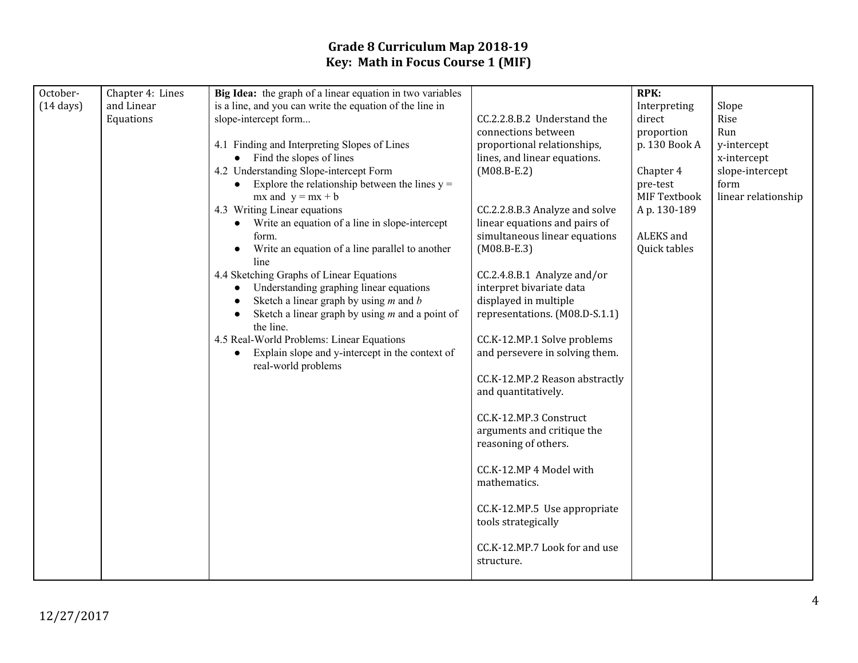| October-            | Chapter 4: Lines | Big Idea: the graph of a linear equation in two variables     |                                | <b>RPK:</b>         |                     |
|---------------------|------------------|---------------------------------------------------------------|--------------------------------|---------------------|---------------------|
| $(14 \text{ days})$ | and Linear       | is a line, and you can write the equation of the line in      |                                | Interpreting        | Slope               |
|                     | Equations        | slope-intercept form                                          | CC.2.2.8.B.2 Understand the    | direct              | Rise                |
|                     |                  |                                                               | connections between            | proportion          | Run                 |
|                     |                  | 4.1 Finding and Interpreting Slopes of Lines                  | proportional relationships,    | p. 130 Book A       | y-intercept         |
|                     |                  | $\bullet$ Find the slopes of lines                            | lines, and linear equations.   |                     | x-intercept         |
|                     |                  | 4.2 Understanding Slope-intercept Form                        | $(M08.B-E.2)$                  | Chapter 4           | slope-intercept     |
|                     |                  | Explore the relationship between the lines $y =$<br>$\bullet$ |                                | pre-test            | form                |
|                     |                  | $mx$ and $y = mx + b$                                         |                                | <b>MIF Textbook</b> | linear relationship |
|                     |                  | 4.3 Writing Linear equations                                  | CC.2.2.8.B.3 Analyze and solve | Ap. 130-189         |                     |
|                     |                  | Write an equation of a line in slope-intercept<br>$\bullet$   | linear equations and pairs of  |                     |                     |
|                     |                  | form.                                                         | simultaneous linear equations  | ALEKS and           |                     |
|                     |                  | Write an equation of a line parallel to another<br>$\bullet$  | $(M08.B-E.3)$                  | Quick tables        |                     |
|                     |                  | line                                                          |                                |                     |                     |
|                     |                  | 4.4 Sketching Graphs of Linear Equations                      | CC.2.4.8.B.1 Analyze and/or    |                     |                     |
|                     |                  | Understanding graphing linear equations<br>$\bullet$          | interpret bivariate data       |                     |                     |
|                     |                  | Sketch a linear graph by using $m$ and $b$                    | displayed in multiple          |                     |                     |
|                     |                  | Sketch a linear graph by using $m$ and a point of             | representations. (M08.D-S.1.1) |                     |                     |
|                     |                  | the line.                                                     |                                |                     |                     |
|                     |                  | 4.5 Real-World Problems: Linear Equations                     | CC.K-12.MP.1 Solve problems    |                     |                     |
|                     |                  | Explain slope and y-intercept in the context of<br>$\bullet$  | and persevere in solving them. |                     |                     |
|                     |                  | real-world problems                                           |                                |                     |                     |
|                     |                  |                                                               | CC.K-12.MP.2 Reason abstractly |                     |                     |
|                     |                  |                                                               | and quantitatively.            |                     |                     |
|                     |                  |                                                               |                                |                     |                     |
|                     |                  |                                                               | CC.K-12.MP.3 Construct         |                     |                     |
|                     |                  |                                                               | arguments and critique the     |                     |                     |
|                     |                  |                                                               | reasoning of others.           |                     |                     |
|                     |                  |                                                               |                                |                     |                     |
|                     |                  |                                                               | CC.K-12.MP 4 Model with        |                     |                     |
|                     |                  |                                                               | mathematics.                   |                     |                     |
|                     |                  |                                                               |                                |                     |                     |
|                     |                  |                                                               | CC.K-12.MP.5 Use appropriate   |                     |                     |
|                     |                  |                                                               | tools strategically            |                     |                     |
|                     |                  |                                                               | CC.K-12.MP.7 Look for and use  |                     |                     |
|                     |                  |                                                               | structure.                     |                     |                     |
|                     |                  |                                                               |                                |                     |                     |
|                     |                  |                                                               |                                |                     |                     |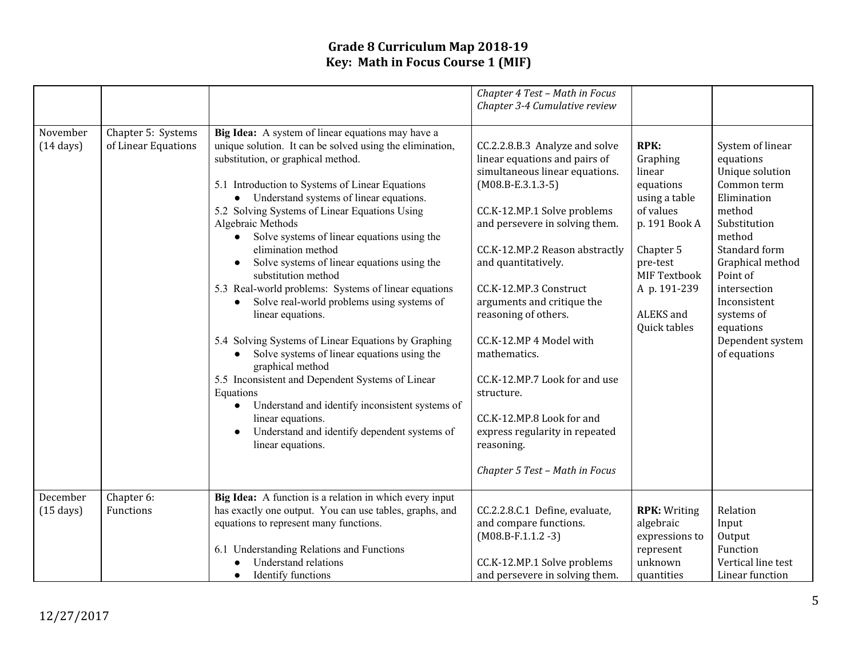|                                 |                                           |                                                                                                                                                                                                                                                                                                                                                                                                                                                                                                                                                                                                                                                                                                                                                                                                                                                                                                                                                                              | Chapter 4 Test - Math in Focus<br>Chapter 3-4 Cumulative review                                                                                                                                                                                                                                                                                                                                                                                                                                                                             |                                                                                                                                                                                            |                                                                                                                                                                                                                                                                    |
|---------------------------------|-------------------------------------------|------------------------------------------------------------------------------------------------------------------------------------------------------------------------------------------------------------------------------------------------------------------------------------------------------------------------------------------------------------------------------------------------------------------------------------------------------------------------------------------------------------------------------------------------------------------------------------------------------------------------------------------------------------------------------------------------------------------------------------------------------------------------------------------------------------------------------------------------------------------------------------------------------------------------------------------------------------------------------|---------------------------------------------------------------------------------------------------------------------------------------------------------------------------------------------------------------------------------------------------------------------------------------------------------------------------------------------------------------------------------------------------------------------------------------------------------------------------------------------------------------------------------------------|--------------------------------------------------------------------------------------------------------------------------------------------------------------------------------------------|--------------------------------------------------------------------------------------------------------------------------------------------------------------------------------------------------------------------------------------------------------------------|
| November<br>$(14 \text{ days})$ | Chapter 5: Systems<br>of Linear Equations | Big Idea: A system of linear equations may have a<br>unique solution. It can be solved using the elimination,<br>substitution, or graphical method.<br>5.1 Introduction to Systems of Linear Equations<br>Understand systems of linear equations.<br>$\bullet$<br>5.2 Solving Systems of Linear Equations Using<br>Algebraic Methods<br>Solve systems of linear equations using the<br>elimination method<br>Solve systems of linear equations using the<br>substitution method<br>5.3 Real-world problems: Systems of linear equations<br>Solve real-world problems using systems of<br>linear equations.<br>5.4 Solving Systems of Linear Equations by Graphing<br>Solve systems of linear equations using the<br>graphical method<br>5.5 Inconsistent and Dependent Systems of Linear<br>Equations<br>Understand and identify inconsistent systems of<br>$\bullet$<br>linear equations.<br>Understand and identify dependent systems of<br>$\bullet$<br>linear equations. | CC.2.2.8.B.3 Analyze and solve<br>linear equations and pairs of<br>simultaneous linear equations.<br>$(M08.B-E.3.1.3-5)$<br>CC.K-12.MP.1 Solve problems<br>and persevere in solving them.<br>CC.K-12.MP.2 Reason abstractly<br>and quantitatively.<br>CC.K-12.MP.3 Construct<br>arguments and critique the<br>reasoning of others.<br>CC.K-12.MP 4 Model with<br>mathematics.<br>CC.K-12.MP.7 Look for and use<br>structure.<br>CC.K-12.MP.8 Look for and<br>express regularity in repeated<br>reasoning.<br>Chapter 5 Test - Math in Focus | <b>RPK:</b><br>Graphing<br>linear<br>equations<br>using a table<br>of values<br>p. 191 Book A<br>Chapter 5<br>pre-test<br><b>MIF Textbook</b><br>A p. 191-239<br>ALEKS and<br>Quick tables | System of linear<br>equations<br>Unique solution<br>Common term<br>Elimination<br>method<br>Substitution<br>method<br>Standard form<br>Graphical method<br>Point of<br>intersection<br>Inconsistent<br>systems of<br>equations<br>Dependent system<br>of equations |
| December<br>$(15 \text{ days})$ | Chapter 6:<br>Functions                   | Big Idea: A function is a relation in which every input<br>has exactly one output. You can use tables, graphs, and<br>equations to represent many functions.<br>6.1 Understanding Relations and Functions<br><b>Understand relations</b><br>Identify functions<br>$\bullet$                                                                                                                                                                                                                                                                                                                                                                                                                                                                                                                                                                                                                                                                                                  | CC.2.2.8.C.1 Define, evaluate,<br>and compare functions.<br>$(M08.B-F.1.1.2-3)$<br>CC.K-12.MP.1 Solve problems<br>and persevere in solving them.                                                                                                                                                                                                                                                                                                                                                                                            | <b>RPK: Writing</b><br>algebraic<br>expressions to<br>represent<br>unknown<br>quantities                                                                                                   | Relation<br>Input<br>Output<br>Function<br>Vertical line test<br>Linear function                                                                                                                                                                                   |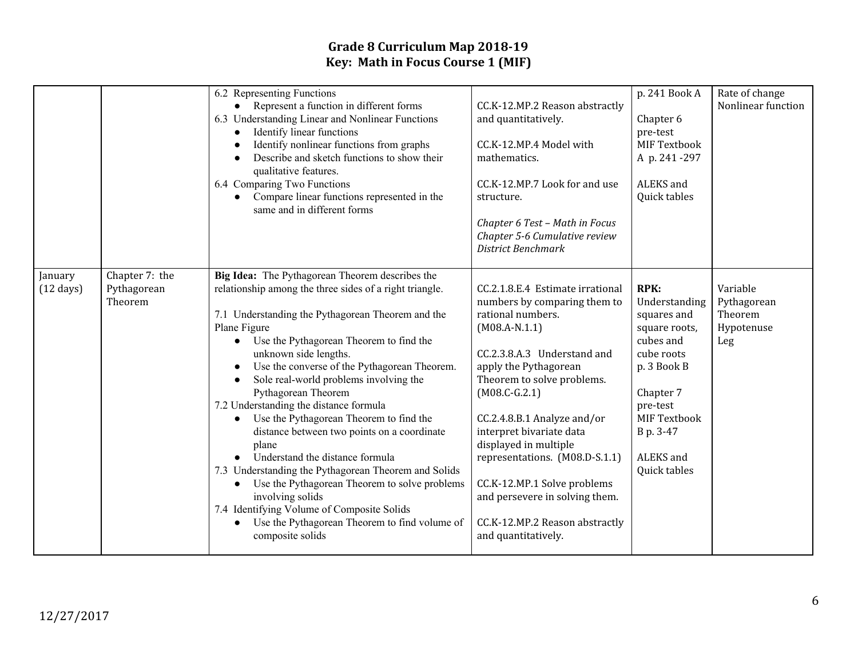|                                |                                          | 6.2 Representing Functions<br>• Represent a function in different forms<br>6.3 Understanding Linear and Nonlinear Functions<br>Identify linear functions<br>$\bullet$<br>Identify nonlinear functions from graphs<br>Describe and sketch functions to show their<br>qualitative features.<br>6.4 Comparing Two Functions<br>Compare linear functions represented in the<br>$\bullet$<br>same and in different forms                                                                                                                                                                                                                                                                                                                                                                                                                                                   | CC.K-12.MP.2 Reason abstractly<br>and quantitatively.<br>CC.K-12.MP.4 Model with<br>mathematics.<br>CC.K-12.MP.7 Look for and use<br>structure.<br>Chapter 6 Test - Math in Focus<br>Chapter 5-6 Cumulative review<br>District Benchmark                                                                                                                                                                                                                          | p. 241 Book A<br>Chapter 6<br>pre-test<br>MIF Textbook<br>A p. 241-297<br>ALEKS and<br>Quick tables                                                                                              | Rate of change<br>Nonlinear function                    |
|--------------------------------|------------------------------------------|-----------------------------------------------------------------------------------------------------------------------------------------------------------------------------------------------------------------------------------------------------------------------------------------------------------------------------------------------------------------------------------------------------------------------------------------------------------------------------------------------------------------------------------------------------------------------------------------------------------------------------------------------------------------------------------------------------------------------------------------------------------------------------------------------------------------------------------------------------------------------|-------------------------------------------------------------------------------------------------------------------------------------------------------------------------------------------------------------------------------------------------------------------------------------------------------------------------------------------------------------------------------------------------------------------------------------------------------------------|--------------------------------------------------------------------------------------------------------------------------------------------------------------------------------------------------|---------------------------------------------------------|
| January<br>$(12 \text{ days})$ | Chapter 7: the<br>Pythagorean<br>Theorem | Big Idea: The Pythagorean Theorem describes the<br>relationship among the three sides of a right triangle.<br>7.1 Understanding the Pythagorean Theorem and the<br>Plane Figure<br>Use the Pythagorean Theorem to find the<br>$\bullet$<br>unknown side lengths.<br>Use the converse of the Pythagorean Theorem.<br>$\bullet$<br>Sole real-world problems involving the<br>Pythagorean Theorem<br>7.2 Understanding the distance formula<br>Use the Pythagorean Theorem to find the<br>$\bullet$<br>distance between two points on a coordinate<br>plane<br>Understand the distance formula<br>7.3 Understanding the Pythagorean Theorem and Solids<br>Use the Pythagorean Theorem to solve problems<br>$\bullet$<br>involving solids<br>7.4 Identifying Volume of Composite Solids<br>Use the Pythagorean Theorem to find volume of<br>$\bullet$<br>composite solids | CC.2.1.8.E.4 Estimate irrational<br>numbers by comparing them to<br>rational numbers.<br>$(M08.A-N.1.1)$<br>CC.2.3.8.A.3 Understand and<br>apply the Pythagorean<br>Theorem to solve problems.<br>$(M08.C-G.2.1)$<br>CC.2.4.8.B.1 Analyze and/or<br>interpret bivariate data<br>displayed in multiple<br>representations. (M08.D-S.1.1)<br>CC.K-12.MP.1 Solve problems<br>and persevere in solving them.<br>CC.K-12.MP.2 Reason abstractly<br>and quantitatively. | <b>RPK:</b><br>Understanding<br>squares and<br>square roots,<br>cubes and<br>cube roots<br>p. 3 Book B<br>Chapter 7<br>pre-test<br><b>MIF Textbook</b><br>B p. 3-47<br>ALEKS and<br>Quick tables | Variable<br>Pythagorean<br>Theorem<br>Hypotenuse<br>Leg |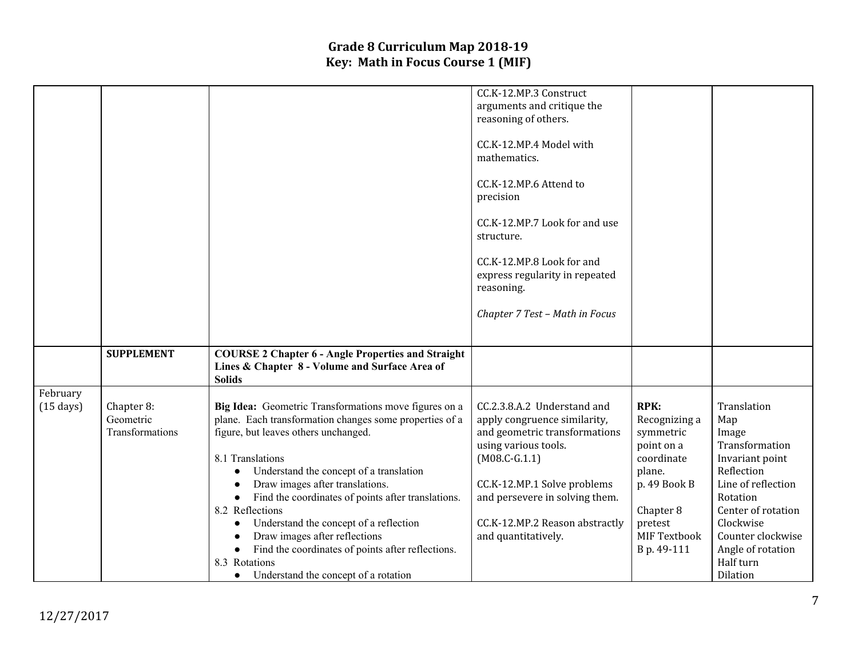|                     |                   |                                                                 | CC.K-12.MP.3 Construct         |                     |                    |
|---------------------|-------------------|-----------------------------------------------------------------|--------------------------------|---------------------|--------------------|
|                     |                   |                                                                 | arguments and critique the     |                     |                    |
|                     |                   |                                                                 | reasoning of others.           |                     |                    |
|                     |                   |                                                                 |                                |                     |                    |
|                     |                   |                                                                 | CC.K-12.MP.4 Model with        |                     |                    |
|                     |                   |                                                                 |                                |                     |                    |
|                     |                   |                                                                 | mathematics.                   |                     |                    |
|                     |                   |                                                                 |                                |                     |                    |
|                     |                   |                                                                 | CC.K-12.MP.6 Attend to         |                     |                    |
|                     |                   |                                                                 | precision                      |                     |                    |
|                     |                   |                                                                 |                                |                     |                    |
|                     |                   |                                                                 | CC.K-12.MP.7 Look for and use  |                     |                    |
|                     |                   |                                                                 | structure.                     |                     |                    |
|                     |                   |                                                                 |                                |                     |                    |
|                     |                   |                                                                 | CC.K-12.MP.8 Look for and      |                     |                    |
|                     |                   |                                                                 |                                |                     |                    |
|                     |                   |                                                                 | express regularity in repeated |                     |                    |
|                     |                   |                                                                 | reasoning.                     |                     |                    |
|                     |                   |                                                                 |                                |                     |                    |
|                     |                   |                                                                 | Chapter 7 Test - Math in Focus |                     |                    |
|                     |                   |                                                                 |                                |                     |                    |
|                     |                   |                                                                 |                                |                     |                    |
|                     | <b>SUPPLEMENT</b> | <b>COURSE 2 Chapter 6 - Angle Properties and Straight</b>       |                                |                     |                    |
|                     |                   | Lines & Chapter 8 - Volume and Surface Area of                  |                                |                     |                    |
|                     |                   | <b>Solids</b>                                                   |                                |                     |                    |
| February            |                   |                                                                 |                                |                     |                    |
| $(15 \text{ days})$ | Chapter 8:        | Big Idea: Geometric Transformations move figures on a           | CC.2.3.8.A.2 Understand and    | <b>RPK:</b>         | Translation        |
|                     | Geometric         |                                                                 |                                |                     |                    |
|                     |                   | plane. Each transformation changes some properties of a         | apply congruence similarity,   | Recognizing a       | Map                |
|                     | Transformations   | figure, but leaves others unchanged.                            | and geometric transformations  | symmetric           | Image              |
|                     |                   |                                                                 | using various tools.           | point on a          | Transformation     |
|                     |                   | 8.1 Translations                                                | $(M08.C-G.1.1)$                | coordinate          | Invariant point    |
|                     |                   | Understand the concept of a translation                         |                                | plane.              | Reflection         |
|                     |                   | Draw images after translations.                                 | CC.K-12.MP.1 Solve problems    | p. 49 Book B        | Line of reflection |
|                     |                   | Find the coordinates of points after translations.<br>$\bullet$ | and persevere in solving them. |                     | Rotation           |
|                     |                   | 8.2 Reflections                                                 |                                | Chapter 8           | Center of rotation |
|                     |                   | Understand the concept of a reflection                          | CC.K-12.MP.2 Reason abstractly | pretest             | Clockwise          |
|                     |                   |                                                                 |                                |                     |                    |
|                     |                   | Draw images after reflections                                   | and quantitatively.            | <b>MIF Textbook</b> | Counter clockwise  |
|                     |                   | Find the coordinates of points after reflections.<br>$\bullet$  |                                | B p. 49-111         | Angle of rotation  |
|                     |                   | 8.3 Rotations                                                   |                                |                     | Half turn          |
|                     |                   | Understand the concept of a rotation<br>$\bullet$               |                                |                     | Dilation           |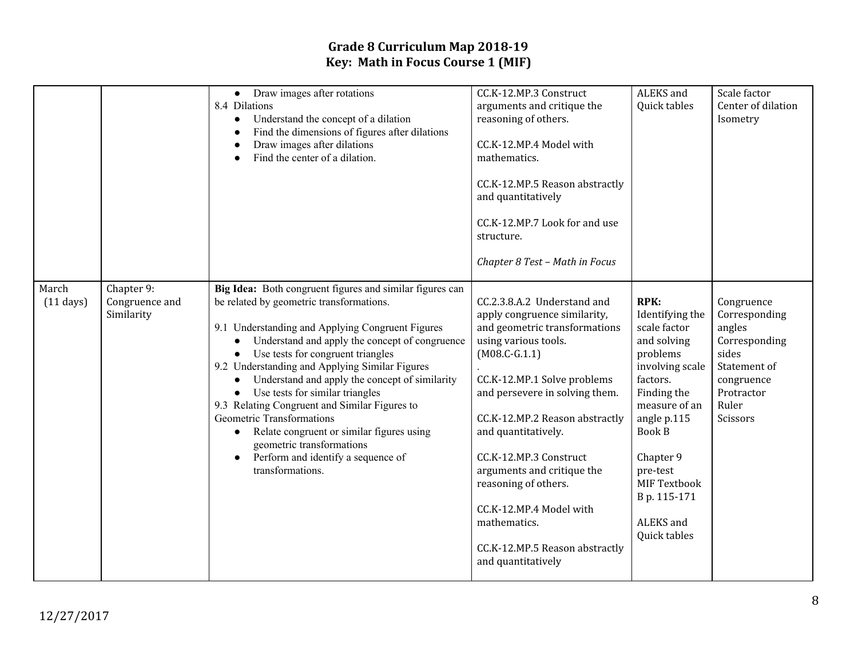|                              |                                            | Draw images after rotations<br>$\bullet$<br>8.4 Dilations<br>Understand the concept of a dilation<br>$\bullet$<br>Find the dimensions of figures after dilations<br>Draw images after dilations<br>Find the center of a dilation.                                                                                                                                                                                                                                                                                                                                                                                                               | CC.K-12.MP.3 Construct<br>arguments and critique the<br>reasoning of others.<br>CC.K-12.MP.4 Model with<br>mathematics.<br>CC.K-12.MP.5 Reason abstractly<br>and quantitatively<br>CC.K-12.MP.7 Look for and use<br>structure.<br>Chapter 8 Test - Math in Focus                                                                                                                                                                                     | ALEKS and<br>Quick tables                                                                                                                                                                                                                                             | Scale factor<br>Center of dilation<br>Isometry                                                                                   |
|------------------------------|--------------------------------------------|-------------------------------------------------------------------------------------------------------------------------------------------------------------------------------------------------------------------------------------------------------------------------------------------------------------------------------------------------------------------------------------------------------------------------------------------------------------------------------------------------------------------------------------------------------------------------------------------------------------------------------------------------|------------------------------------------------------------------------------------------------------------------------------------------------------------------------------------------------------------------------------------------------------------------------------------------------------------------------------------------------------------------------------------------------------------------------------------------------------|-----------------------------------------------------------------------------------------------------------------------------------------------------------------------------------------------------------------------------------------------------------------------|----------------------------------------------------------------------------------------------------------------------------------|
| March<br>$(11 \text{ days})$ | Chapter 9:<br>Congruence and<br>Similarity | Big Idea: Both congruent figures and similar figures can<br>be related by geometric transformations.<br>9.1 Understanding and Applying Congruent Figures<br>Understand and apply the concept of congruence<br>Use tests for congruent triangles<br>$\bullet$<br>9.2 Understanding and Applying Similar Figures<br>Understand and apply the concept of similarity<br>Use tests for similar triangles<br>$\bullet$<br>9.3 Relating Congruent and Similar Figures to<br>Geometric Transformations<br>Relate congruent or similar figures using<br>$\bullet$<br>geometric transformations<br>Perform and identify a sequence of<br>transformations. | CC.2.3.8.A.2 Understand and<br>apply congruence similarity,<br>and geometric transformations<br>using various tools.<br>$(M08.C-G.1.1)$<br>CC.K-12.MP.1 Solve problems<br>and persevere in solving them.<br>CC.K-12.MP.2 Reason abstractly<br>and quantitatively.<br>CC.K-12.MP.3 Construct<br>arguments and critique the<br>reasoning of others.<br>CC.K-12.MP.4 Model with<br>mathematics.<br>CC.K-12.MP.5 Reason abstractly<br>and quantitatively | <b>RPK:</b><br>Identifying the<br>scale factor<br>and solving<br>problems<br>involving scale<br>factors.<br>Finding the<br>measure of an<br>angle p.115<br><b>Book B</b><br>Chapter 9<br>pre-test<br><b>MIF Textbook</b><br>B p. 115-171<br>ALEKS and<br>Quick tables | Congruence<br>Corresponding<br>angles<br>Corresponding<br>sides<br>Statement of<br>congruence<br>Protractor<br>Ruler<br>Scissors |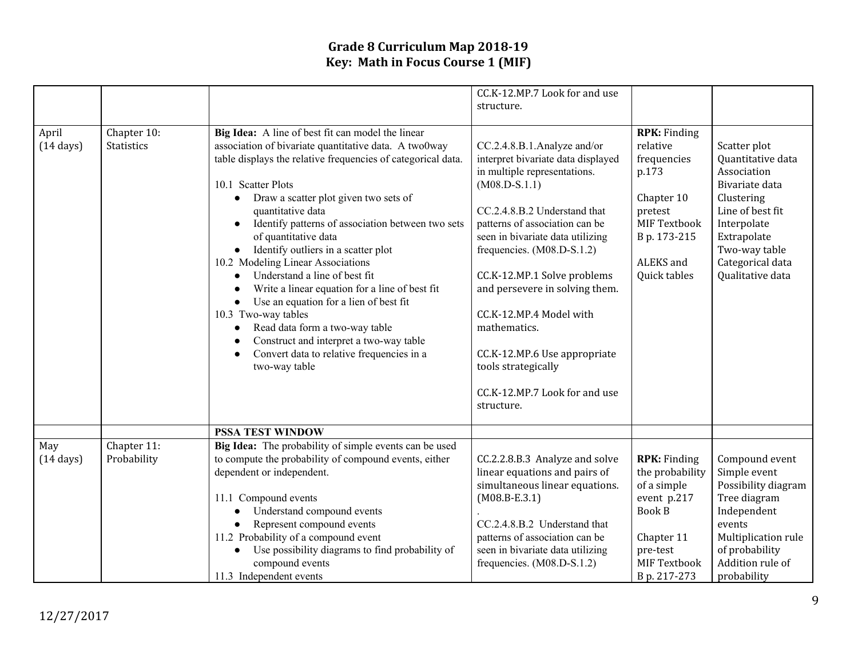|                              |                                  |                                                                                                                                                                                                                                                                                                                                                                                                                                                                                                                                                                                                                                                                                                                                                                                                                                             | CC.K-12.MP.7 Look for and use<br>structure.                                                                                                                                                                                                                                                                                                                                                                                                                                |                                                                                                                                                      |                                                                                                                                                                                             |
|------------------------------|----------------------------------|---------------------------------------------------------------------------------------------------------------------------------------------------------------------------------------------------------------------------------------------------------------------------------------------------------------------------------------------------------------------------------------------------------------------------------------------------------------------------------------------------------------------------------------------------------------------------------------------------------------------------------------------------------------------------------------------------------------------------------------------------------------------------------------------------------------------------------------------|----------------------------------------------------------------------------------------------------------------------------------------------------------------------------------------------------------------------------------------------------------------------------------------------------------------------------------------------------------------------------------------------------------------------------------------------------------------------------|------------------------------------------------------------------------------------------------------------------------------------------------------|---------------------------------------------------------------------------------------------------------------------------------------------------------------------------------------------|
| April<br>$(14 \text{ days})$ | Chapter 10:<br><b>Statistics</b> | Big Idea: A line of best fit can model the linear<br>association of bivariate quantitative data. A two0way<br>table displays the relative frequencies of categorical data.<br>10.1 Scatter Plots<br>Draw a scatter plot given two sets of<br>$\bullet$<br>quantitative data<br>Identify patterns of association between two sets<br>$\bullet$<br>of quantitative data<br>Identify outliers in a scatter plot<br>$\bullet$<br>10.2 Modeling Linear Associations<br>Understand a line of best fit<br>$\bullet$<br>Write a linear equation for a line of best fit<br>$\bullet$<br>Use an equation for a lien of best fit<br>$\bullet$<br>10.3 Two-way tables<br>Read data form a two-way table<br>$\bullet$<br>Construct and interpret a two-way table<br>$\bullet$<br>Convert data to relative frequencies in a<br>$\bullet$<br>two-way table | CC.2.4.8.B.1.Analyze and/or<br>interpret bivariate data displayed<br>in multiple representations.<br>$(M08.D-S.1.1)$<br>CC.2.4.8.B.2 Understand that<br>patterns of association can be<br>seen in bivariate data utilizing<br>frequencies. (M08.D-S.1.2)<br>CC.K-12.MP.1 Solve problems<br>and persevere in solving them.<br>CC.K-12.MP.4 Model with<br>mathematics.<br>CC.K-12.MP.6 Use appropriate<br>tools strategically<br>CC.K-12.MP.7 Look for and use<br>structure. | <b>RPK:</b> Finding<br>relative<br>frequencies<br>p.173<br>Chapter 10<br>pretest<br><b>MIF Textbook</b><br>B p. 173-215<br>ALEKS and<br>Quick tables | Scatter plot<br>Quantitative data<br>Association<br>Bivariate data<br>Clustering<br>Line of best fit<br>Interpolate<br>Extrapolate<br>Two-way table<br>Categorical data<br>Qualitative data |
|                              |                                  | <b>PSSA TEST WINDOW</b>                                                                                                                                                                                                                                                                                                                                                                                                                                                                                                                                                                                                                                                                                                                                                                                                                     |                                                                                                                                                                                                                                                                                                                                                                                                                                                                            |                                                                                                                                                      |                                                                                                                                                                                             |
| May<br>$(14 \text{ days})$   | Chapter 11:<br>Probability       | Big Idea: The probability of simple events can be used<br>to compute the probability of compound events, either<br>dependent or independent.<br>11.1 Compound events<br>Understand compound events<br>$\bullet$<br>Represent compound events<br>$\bullet$<br>11.2 Probability of a compound event<br>Use possibility diagrams to find probability of<br>compound events<br>11.3 Independent events                                                                                                                                                                                                                                                                                                                                                                                                                                          | CC.2.2.8.B.3 Analyze and solve<br>linear equations and pairs of<br>simultaneous linear equations.<br>$(M08.B-E.3.1)$<br>CC.2.4.8.B.2 Understand that<br>patterns of association can be<br>seen in bivariate data utilizing<br>frequencies. (M08.D-S.1.2)                                                                                                                                                                                                                   | <b>RPK:</b> Finding<br>the probability<br>of a simple<br>event p.217<br><b>Book B</b><br>Chapter 11<br>pre-test<br>MIF Textbook<br>B p. 217-273      | Compound event<br>Simple event<br>Possibility diagram<br>Tree diagram<br>Independent<br>events<br>Multiplication rule<br>of probability<br>Addition rule of<br>probability                  |